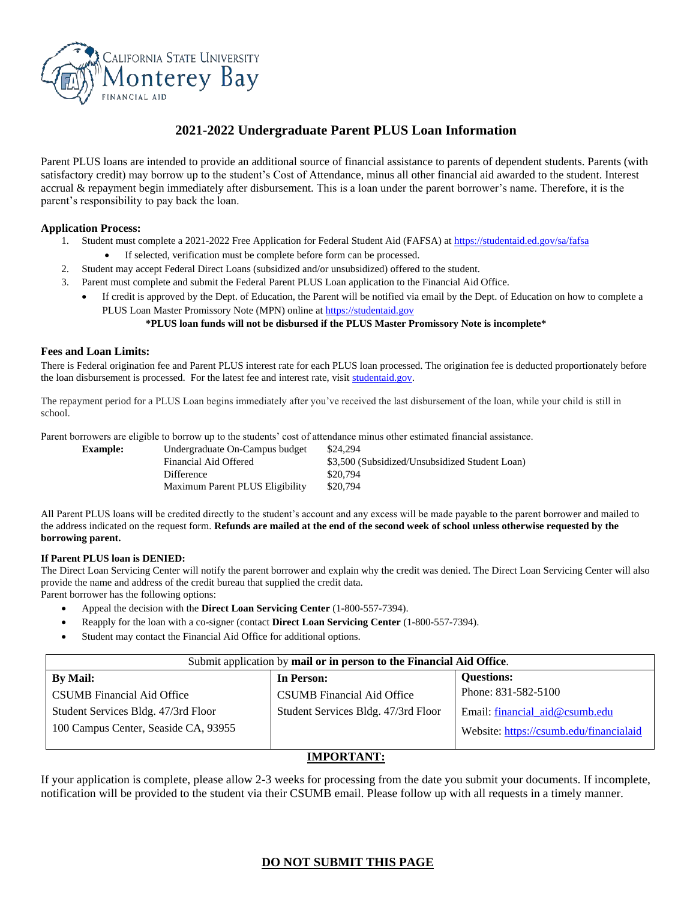

# **2021-2022 Undergraduate Parent PLUS Loan Information**

Parent PLUS loans are intended to provide an additional source of financial assistance to parents of dependent students. Parents (with satisfactory credit) may borrow up to the student's Cost of Attendance, minus all other financial aid awarded to the student. Interest accrual & repayment begin immediately after disbursement. This is a loan under the parent borrower's name. Therefore, it is the parent's responsibility to pay back the loan.

#### **Application Process:**

- 1. Student must complete a 2021-2022 Free Application for Federal Student Aid (FAFSA) a[t https://studentaid.ed.gov/sa/fafsa](https://studentaid.ed.gov/sa/fafsa)
	- If selected, verification must be complete before form can be processed.
- 2. Student may accept Federal Direct Loans (subsidized and/or unsubsidized) offered to the student.
- 3. Parent must complete and submit the Federal Parent PLUS Loan application to the Financial Aid Office.
	- If credit is approved by the Dept. of Education, the Parent will be notified via email by the Dept. of Education on how to complete a PLUS Loan Master Promissory Note (MPN) online a[t https://studentaid.gov](https://studentaid.gov/)

#### **\*PLUS loan funds will not be disbursed if the PLUS Master Promissory Note is incomplete\***

#### **Fees and Loan Limits:**

There is Federal origination fee and Parent PLUS interest rate for each PLUS loan processed. The origination fee is deducted proportionately before the loan disbursement is processed. For the latest fee and interest rate, visit [studentaid.gov.](https://studentaid.gov/understand-aid/types/loans/interest-rates) 

The repayment period for a PLUS Loan begins immediately after you've received the last disbursement of the loan, while your child is still in school.

Parent borrowers are eligible to borrow up to the students' cost of attendance minus other estimated financial assistance.

| <b>Example:</b> | Undergraduate On-Campus budget  | \$24,294                                       |
|-----------------|---------------------------------|------------------------------------------------|
|                 | Financial Aid Offered           | \$3,500 (Subsidized/Unsubsidized Student Loan) |
|                 | Difference                      | \$20.794                                       |
|                 | Maximum Parent PLUS Eligibility | \$20,794                                       |
|                 |                                 |                                                |

All Parent PLUS loans will be credited directly to the student's account and any excess will be made payable to the parent borrower and mailed to the address indicated on the request form. **Refunds are mailed at the end of the second week of school unless otherwise requested by the borrowing parent.**

#### **If Parent PLUS loan is DENIED:**

The Direct Loan Servicing Center will notify the parent borrower and explain why the credit was denied. The Direct Loan Servicing Center will also provide the name and address of the credit bureau that supplied the credit data.

Parent borrower has the following options:

- Appeal the decision with the **Direct Loan Servicing Center** (1-800-557-7394).
- Reapply for the loan with a co-signer (contact **Direct Loan Servicing Center** (1-800-557-7394).
- Student may contact the Financial Aid Office for additional options.

| Submit application by mail or in person to the Financial Aid Office. |                                     |                                         |  |  |  |
|----------------------------------------------------------------------|-------------------------------------|-----------------------------------------|--|--|--|
| <b>By Mail:</b>                                                      | In Person:                          | <b>Ouestions:</b>                       |  |  |  |
| <b>CSUMB</b> Financial Aid Office                                    | <b>CSUMB</b> Financial Aid Office   | Phone: 831-582-5100                     |  |  |  |
| Student Services Bldg. 47/3rd Floor                                  | Student Services Bldg. 47/3rd Floor | Email: financial aid@csumb.edu          |  |  |  |
| 100 Campus Center, Seaside CA, 93955                                 |                                     | Website: https://csumb.edu/financialaid |  |  |  |

### **IMPORTANT:**

If your application is complete, please allow 2-3 weeks for processing from the date you submit your documents. If incomplete, notification will be provided to the student via their CSUMB email. Please follow up with all requests in a timely manner.

### **DO NOT SUBMIT THIS PAGE**